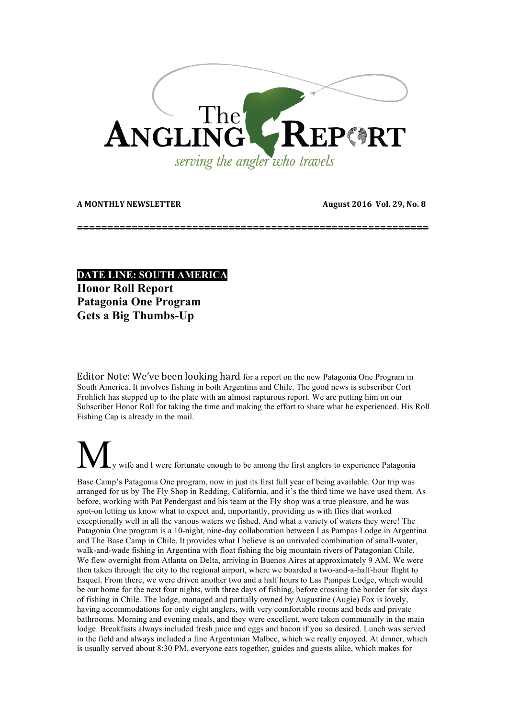

A MONTHLY NEWSLETTER **AUGUST 2016** Vol. 29, No. 8

**==========================================================**

**DATE LINE: SOUTH AMERICA**

**Honor Roll Report Patagonia One Program Gets a Big Thumbs-Up**

Editor Note: We've been looking hard for a report on the new Patagonia One Program in South America. It involves fishing in both Argentina and Chile. The good news is subscriber Cort Frohlich has stepped up to the plate with an almost rapturous report. We are putting him on our Subscriber Honor Roll for taking the time and making the effort to share what he experienced. His Roll Fishing Cap is already in the mail.

wife and I were fortunate enough to be among the first anglers to experience Patagonia Base Camp's Patagonia One program, now in just its first full year of being available. Our trip was arranged for us by The Fly Shop in Redding, California, and it's the third time we have used them. As before, working with Pat Pendergast and his team at the Fly shop was a true pleasure, and he was spot-on letting us know what to expect and, importantly, providing us with flies that worked exceptionally well in all the various waters we fished. And what a variety of waters they were! The Patagonia One program is a 10-night, nine-day collaboration between Las Pampas Lodge in Argentina and The Base Camp in Chile. It provides what I believe is an unrivaled combination of small-water, walk-and-wade fishing in Argentina with float fishing the big mountain rivers of Patagonian Chile. We flew overnight from Atlanta on Delta, arriving in Buenos Aires at approximately 9 AM. We were then taken through the city to the regional airport, where we boarded a two-and-a-half-hour flight to Esquel. From there, we were driven another two and a half hours to Las Pampas Lodge, which would be our home for the next four nights, with three days of fishing, before crossing the border for six days of fishing in Chile. The lodge, managed and partially owned by Augustine (Augie) Fox is lovely, having accommodations for only eight anglers, with very comfortable rooms and beds and private bathrooms. Morning and evening meals, and they were excellent, were taken communally in the main lodge. Breakfasts always included fresh juice and eggs and bacon if you so desired. Lunch was served in the field and always included a fine Argentinian Malbec, which we really enjoyed. At dinner, which is usually served about 8:30 PM, everyone eats together, guides and guests alike, which makes for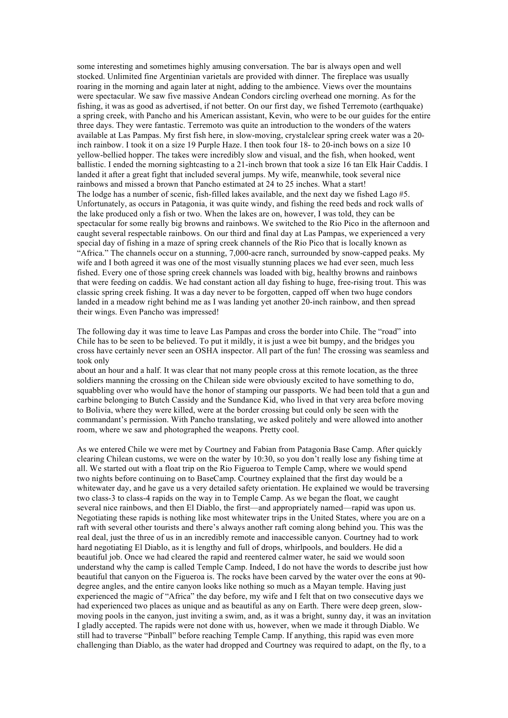some interesting and sometimes highly amusing conversation. The bar is always open and well stocked. Unlimited fine Argentinian varietals are provided with dinner. The fireplace was usually roaring in the morning and again later at night, adding to the ambience. Views over the mountains were spectacular. We saw five massive Andean Condors circling overhead one morning. As for the fishing, it was as good as advertised, if not better. On our first day, we fished Terremoto (earthquake) a spring creek, with Pancho and his American assistant, Kevin, who were to be our guides for the entire three days. They were fantastic. Terremoto was quite an introduction to the wonders of the waters available at Las Pampas. My first fish here, in slow-moving, crystalclear spring creek water was a 20 inch rainbow. I took it on a size 19 Purple Haze. I then took four 18- to 20-inch bows on a size 10 yellow-bellied hopper. The takes were incredibly slow and visual, and the fish, when hooked, went ballistic. I ended the morning sightcasting to a 21-inch brown that took a size 16 tan Elk Hair Caddis. I landed it after a great fight that included several jumps. My wife, meanwhile, took several nice rainbows and missed a brown that Pancho estimated at 24 to 25 inches. What a start! The lodge has a number of scenic, fish-filled lakes available, and the next day we fished Lago #5. Unfortunately, as occurs in Patagonia, it was quite windy, and fishing the reed beds and rock walls of the lake produced only a fish or two. When the lakes are on, however, I was told, they can be spectacular for some really big browns and rainbows. We switched to the Rio Pico in the afternoon and caught several respectable rainbows. On our third and final day at Las Pampas, we experienced a very special day of fishing in a maze of spring creek channels of the Rio Pico that is locally known as "Africa." The channels occur on a stunning, 7,000-acre ranch, surrounded by snow-capped peaks. My wife and I both agreed it was one of the most visually stunning places we had ever seen, much less fished. Every one of those spring creek channels was loaded with big, healthy browns and rainbows that were feeding on caddis. We had constant action all day fishing to huge, free-rising trout. This was classic spring creek fishing. It was a day never to be forgotten, capped off when two huge condors landed in a meadow right behind me as I was landing yet another 20-inch rainbow, and then spread their wings. Even Pancho was impressed!

The following day it was time to leave Las Pampas and cross the border into Chile. The "road" into Chile has to be seen to be believed. To put it mildly, it is just a wee bit bumpy, and the bridges you cross have certainly never seen an OSHA inspector. All part of the fun! The crossing was seamless and took only

about an hour and a half. It was clear that not many people cross at this remote location, as the three soldiers manning the crossing on the Chilean side were obviously excited to have something to do, squabbling over who would have the honor of stamping our passports. We had been told that a gun and carbine belonging to Butch Cassidy and the Sundance Kid, who lived in that very area before moving to Bolivia, where they were killed, were at the border crossing but could only be seen with the commandant's permission. With Pancho translating, we asked politely and were allowed into another room, where we saw and photographed the weapons. Pretty cool.

As we entered Chile we were met by Courtney and Fabian from Patagonia Base Camp. After quickly clearing Chilean customs, we were on the water by 10:30, so you don't really lose any fishing time at all. We started out with a float trip on the Rio Figueroa to Temple Camp, where we would spend two nights before continuing on to BaseCamp. Courtney explained that the first day would be a whitewater day, and he gave us a very detailed safety orientation. He explained we would be traversing two class-3 to class-4 rapids on the way in to Temple Camp. As we began the float, we caught several nice rainbows, and then El Diablo, the first—and appropriately named—rapid was upon us. Negotiating these rapids is nothing like most whitewater trips in the United States, where you are on a raft with several other tourists and there's always another raft coming along behind you. This was the real deal, just the three of us in an incredibly remote and inaccessible canyon. Courtney had to work hard negotiating El Diablo, as it is lengthy and full of drops, whirlpools, and boulders. He did a beautiful job. Once we had cleared the rapid and reentered calmer water, he said we would soon understand why the camp is called Temple Camp. Indeed, I do not have the words to describe just how beautiful that canyon on the Figueroa is. The rocks have been carved by the water over the eons at 90 degree angles, and the entire canyon looks like nothing so much as a Mayan temple. Having just experienced the magic of "Africa" the day before, my wife and I felt that on two consecutive days we had experienced two places as unique and as beautiful as any on Earth. There were deep green, slowmoving pools in the canyon, just inviting a swim, and, as it was a bright, sunny day, it was an invitation I gladly accepted. The rapids were not done with us, however, when we made it through Diablo. We still had to traverse "Pinball" before reaching Temple Camp. If anything, this rapid was even more challenging than Diablo, as the water had dropped and Courtney was required to adapt, on the fly, to a